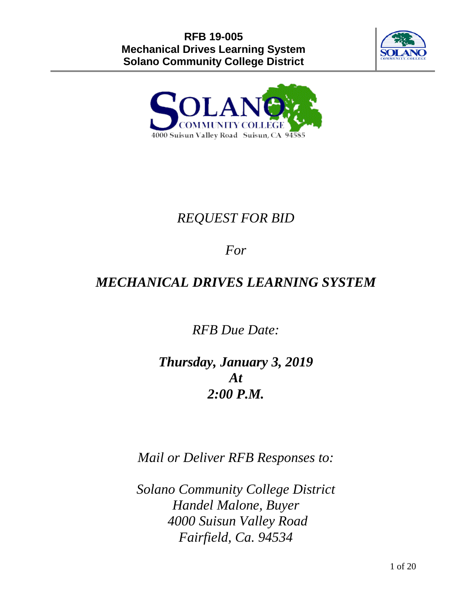



# *REQUEST FOR BID*

# *For*

# *MECHANICAL DRIVES LEARNING SYSTEM*

*RFB Due Date:* 

# *Thursday, January 3, 2019 At 2:00 P.M.*

*Mail or Deliver RFB Responses to:*

*Solano Community College District Handel Malone, Buyer 4000 Suisun Valley Road Fairfield, Ca. 94534*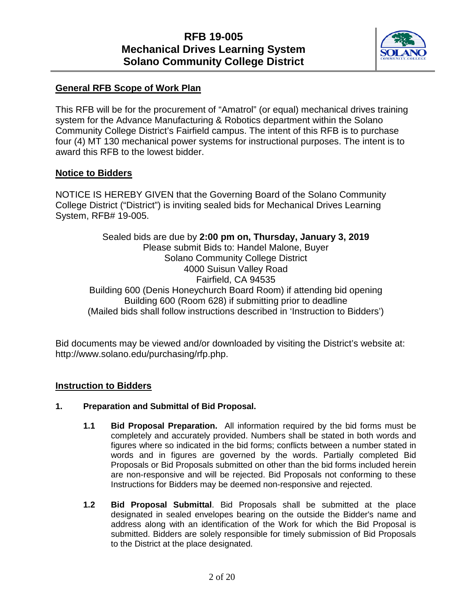

### **General RFB Scope of Work Plan**

This RFB will be for the procurement of "Amatrol" (or equal) mechanical drives training system for the Advance Manufacturing & Robotics department within the Solano Community College District's Fairfield campus. The intent of this RFB is to purchase four (4) MT 130 mechanical power systems for instructional purposes. The intent is to award this RFB to the lowest bidder.

### **Notice to Bidders**

NOTICE IS HEREBY GIVEN that the Governing Board of the Solano Community College District ("District") is inviting sealed bids for Mechanical Drives Learning System, RFB# 19-005.

Sealed bids are due by **2:00 pm on, Thursday, January 3, 2019** Please submit Bids to: Handel Malone, Buyer Solano Community College District 4000 Suisun Valley Road Fairfield, CA 94535 Building 600 (Denis Honeychurch Board Room) if attending bid opening Building 600 (Room 628) if submitting prior to deadline (Mailed bids shall follow instructions described in 'Instruction to Bidders')

Bid documents may be viewed and/or downloaded by visiting the District's website at: http://www.solano.edu/purchasing/rfp.php.

### **Instruction to Bidders**

### **1. Preparation and Submittal of Bid Proposal.**

- **1.1 Bid Proposal Preparation.** All information required by the bid forms must be completely and accurately provided. Numbers shall be stated in both words and figures where so indicated in the bid forms; conflicts between a number stated in words and in figures are governed by the words. Partially completed Bid Proposals or Bid Proposals submitted on other than the bid forms included herein are non-responsive and will be rejected. Bid Proposals not conforming to these Instructions for Bidders may be deemed non-responsive and rejected.
- **1.2 Bid Proposal Submittal**. Bid Proposals shall be submitted at the place designated in sealed envelopes bearing on the outside the Bidder's name and address along with an identification of the Work for which the Bid Proposal is submitted. Bidders are solely responsible for timely submission of Bid Proposals to the District at the place designated.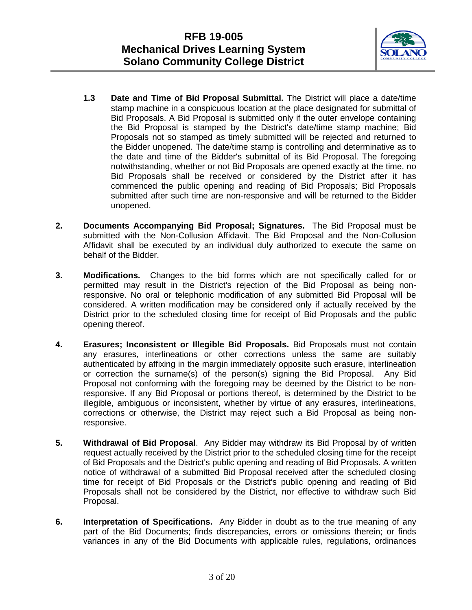

- **1.3 Date and Time of Bid Proposal Submittal.** The District will place a date/time stamp machine in a conspicuous location at the place designated for submittal of Bid Proposals. A Bid Proposal is submitted only if the outer envelope containing the Bid Proposal is stamped by the District's date/time stamp machine; Bid Proposals not so stamped as timely submitted will be rejected and returned to the Bidder unopened. The date/time stamp is controlling and determinative as to the date and time of the Bidder's submittal of its Bid Proposal. The foregoing notwithstanding, whether or not Bid Proposals are opened exactly at the time, no Bid Proposals shall be received or considered by the District after it has commenced the public opening and reading of Bid Proposals; Bid Proposals submitted after such time are non-responsive and will be returned to the Bidder unopened.
- **2. Documents Accompanying Bid Proposal; Signatures.** The Bid Proposal must be submitted with the Non-Collusion Affidavit. The Bid Proposal and the Non-Collusion Affidavit shall be executed by an individual duly authorized to execute the same on behalf of the Bidder.
- **3. Modifications.** Changes to the bid forms which are not specifically called for or permitted may result in the District's rejection of the Bid Proposal as being nonresponsive. No oral or telephonic modification of any submitted Bid Proposal will be considered. A written modification may be considered only if actually received by the District prior to the scheduled closing time for receipt of Bid Proposals and the public opening thereof.
- **4. Erasures; Inconsistent or Illegible Bid Proposals.** Bid Proposals must not contain any erasures, interlineations or other corrections unless the same are suitably authenticated by affixing in the margin immediately opposite such erasure, interlineation or correction the surname(s) of the person(s) signing the Bid Proposal. Any Bid Proposal not conforming with the foregoing may be deemed by the District to be nonresponsive. If any Bid Proposal or portions thereof, is determined by the District to be illegible, ambiguous or inconsistent, whether by virtue of any erasures, interlineations, corrections or otherwise, the District may reject such a Bid Proposal as being nonresponsive.
- **5. Withdrawal of Bid Proposal**. Any Bidder may withdraw its Bid Proposal by of written request actually received by the District prior to the scheduled closing time for the receipt of Bid Proposals and the District's public opening and reading of Bid Proposals. A written notice of withdrawal of a submitted Bid Proposal received after the scheduled closing time for receipt of Bid Proposals or the District's public opening and reading of Bid Proposals shall not be considered by the District, nor effective to withdraw such Bid Proposal.
- **6. Interpretation of Specifications.** Any Bidder in doubt as to the true meaning of any part of the Bid Documents; finds discrepancies, errors or omissions therein; or finds variances in any of the Bid Documents with applicable rules, regulations, ordinances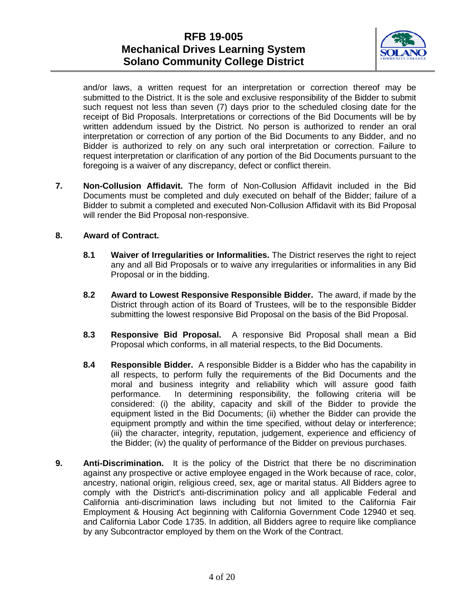

and/or laws, a written request for an interpretation or correction thereof may be submitted to the District. It is the sole and exclusive responsibility of the Bidder to submit such request not less than seven (7) days prior to the scheduled closing date for the receipt of Bid Proposals. Interpretations or corrections of the Bid Documents will be by written addendum issued by the District. No person is authorized to render an oral interpretation or correction of any portion of the Bid Documents to any Bidder, and no Bidder is authorized to rely on any such oral interpretation or correction. Failure to request interpretation or clarification of any portion of the Bid Documents pursuant to the foregoing is a waiver of any discrepancy, defect or conflict therein.

**7. Non-Collusion Affidavit.** The form of Non-Collusion Affidavit included in the Bid Documents must be completed and duly executed on behalf of the Bidder; failure of a Bidder to submit a completed and executed Non-Collusion Affidavit with its Bid Proposal will render the Bid Proposal non-responsive.

### **8. Award of Contract.**

- **8.1 Waiver of Irregularities or Informalities.** The District reserves the right to reject any and all Bid Proposals or to waive any irregularities or informalities in any Bid Proposal or in the bidding.
- **8.2 Award to Lowest Responsive Responsible Bidder.** The award, if made by the District through action of its Board of Trustees, will be to the responsible Bidder submitting the lowest responsive Bid Proposal on the basis of the Bid Proposal.
- **8.3 Responsive Bid Proposal.** A responsive Bid Proposal shall mean a Bid Proposal which conforms, in all material respects, to the Bid Documents.
- **8.4 Responsible Bidder.** A responsible Bidder is a Bidder who has the capability in all respects, to perform fully the requirements of the Bid Documents and the moral and business integrity and reliability which will assure good faith performance. In determining responsibility, the following criteria will be considered: (i) the ability, capacity and skill of the Bidder to provide the equipment listed in the Bid Documents; (ii) whether the Bidder can provide the equipment promptly and within the time specified, without delay or interference; (iii) the character, integrity, reputation, judgement, experience and efficiency of the Bidder; (iv) the quality of performance of the Bidder on previous purchases.
- **9. Anti-Discrimination.** It is the policy of the District that there be no discrimination against any prospective or active employee engaged in the Work because of race, color, ancestry, national origin, religious creed, sex, age or marital status. All Bidders agree to comply with the District's anti-discrimination policy and all applicable Federal and California anti-discrimination laws including but not limited to the California Fair Employment & Housing Act beginning with California Government Code 12940 et seq. and California Labor Code 1735. In addition, all Bidders agree to require like compliance by any Subcontractor employed by them on the Work of the Contract.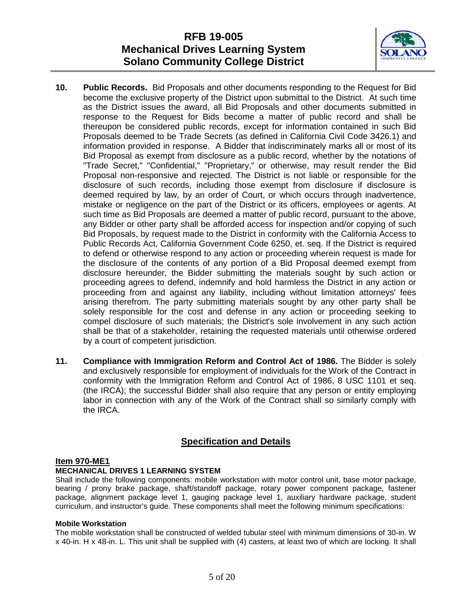

- **10. Public Records.** Bid Proposals and other documents responding to the Request for Bid become the exclusive property of the District upon submittal to the District. At such time as the District issues the award, all Bid Proposals and other documents submitted in response to the Request for Bids become a matter of public record and shall be thereupon be considered public records, except for information contained in such Bid Proposals deemed to be Trade Secrets (as defined in California Civil Code 3426.1) and information provided in response. A Bidder that indiscriminately marks all or most of its Bid Proposal as exempt from disclosure as a public record, whether by the notations of "Trade Secret," "Confidential," "Proprietary," or otherwise, may result render the Bid Proposal non-responsive and rejected. The District is not liable or responsible for the disclosure of such records, including those exempt from disclosure if disclosure is deemed required by law, by an order of Court, or which occurs through inadvertence, mistake or negligence on the part of the District or its officers, employees or agents. At such time as Bid Proposals are deemed a matter of public record, pursuant to the above, any Bidder or other party shall be afforded access for inspection and/or copying of such Bid Proposals, by request made to the District in conformity with the California Access to Public Records Act, California Government Code 6250, et. seq. If the District is required to defend or otherwise respond to any action or proceeding wherein request is made for the disclosure of the contents of any portion of a Bid Proposal deemed exempt from disclosure hereunder, the Bidder submitting the materials sought by such action or proceeding agrees to defend, indemnify and hold harmless the District in any action or proceeding from and against any liability, including without limitation attorneys' fees arising therefrom. The party submitting materials sought by any other party shall be solely responsible for the cost and defense in any action or proceeding seeking to compel disclosure of such materials; the District's sole involvement in any such action shall be that of a stakeholder, retaining the requested materials until otherwise ordered by a court of competent jurisdiction.
- **11. Compliance with Immigration Reform and Control Act of 1986.** The Bidder is solely and exclusively responsible for employment of individuals for the Work of the Contract in conformity with the Immigration Reform and Control Act of 1986, 8 USC 1101 et seq. (the IRCA); the successful Bidder shall also require that any person or entity employing labor in connection with any of the Work of the Contract shall so similarly comply with the IRCA.

### **Specification and Details**

### **Item 970-ME1**

### **MECHANICAL DRIVES 1 LEARNING SYSTEM**

Shall include the following components: mobile workstation with motor control unit, base motor package, bearing / prony brake package, shaft/standoff package, rotary power component package, fastener package, alignment package level 1, gauging package level 1, auxiliary hardware package, student curriculum, and instructor's guide. These components shall meet the following minimum specifications:

### **Mobile Workstation**

The mobile workstation shall be constructed of welded tubular steel with minimum dimensions of 30-in. W x 40-in. H x 48-in. L. This unit shall be supplied with (4) casters, at least two of which are locking. It shall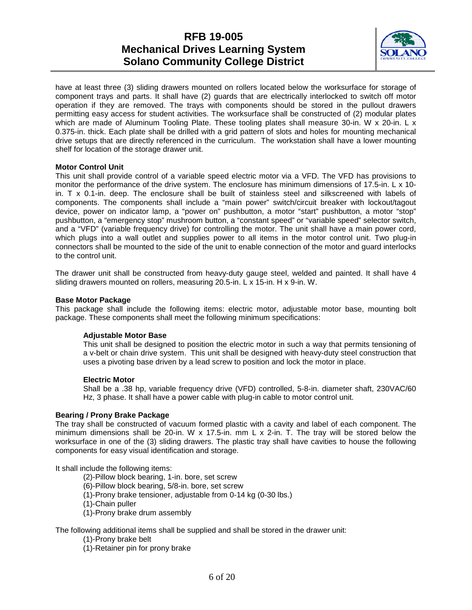

have at least three (3) sliding drawers mounted on rollers located below the worksurface for storage of component trays and parts. It shall have (2) guards that are electrically interlocked to switch off motor operation if they are removed. The trays with components should be stored in the pullout drawers permitting easy access for student activities. The worksurface shall be constructed of (2) modular plates which are made of Aluminum Tooling Plate. These tooling plates shall measure 30-in. W x 20-in. L x 0.375-in. thick. Each plate shall be drilled with a grid pattern of slots and holes for mounting mechanical drive setups that are directly referenced in the curriculum. The workstation shall have a lower mounting shelf for location of the storage drawer unit.

### **Motor Control Unit**

This unit shall provide control of a variable speed electric motor via a VFD. The VFD has provisions to monitor the performance of the drive system. The enclosure has minimum dimensions of 17.5-in. L x 10 in. T x 0.1-in. deep. The enclosure shall be built of stainless steel and silkscreened with labels of components. The components shall include a "main power" switch/circuit breaker with lockout/tagout device, power on indicator lamp, a "power on" pushbutton, a motor "start" pushbutton, a motor "stop" pushbutton, a "emergency stop" mushroom button, a "constant speed" or "variable speed" selector switch, and a "VFD" (variable frequency drive) for controlling the motor. The unit shall have a main power cord, which plugs into a wall outlet and supplies power to all items in the motor control unit. Two plug-in connectors shall be mounted to the side of the unit to enable connection of the motor and guard interlocks to the control unit.

The drawer unit shall be constructed from heavy-duty gauge steel, welded and painted. It shall have 4 sliding drawers mounted on rollers, measuring 20.5-in. L x 15-in. H x 9-in. W.

### **Base Motor Package**

This package shall include the following items: electric motor, adjustable motor base, mounting bolt package. These components shall meet the following minimum specifications:

### **Adjustable Motor Base**

This unit shall be designed to position the electric motor in such a way that permits tensioning of a v-belt or chain drive system. This unit shall be designed with heavy-duty steel construction that uses a pivoting base driven by a lead screw to position and lock the motor in place.

### **Electric Motor**

Shall be a .38 hp, variable frequency drive (VFD) controlled, 5-8-in. diameter shaft, 230VAC/60 Hz, 3 phase. It shall have a power cable with plug-in cable to motor control unit.

### **Bearing / Prony Brake Package**

The tray shall be constructed of vacuum formed plastic with a cavity and label of each component. The minimum dimensions shall be 20-in. W  $\times$  17.5-in. mm L  $\times$  2-in. T. The tray will be stored below the worksurface in one of the (3) sliding drawers. The plastic tray shall have cavities to house the following components for easy visual identification and storage.

It shall include the following items:

- (2)-Pillow block bearing, 1-in. bore, set screw
- (6)-Pillow block bearing, 5/8-in. bore, set screw
- (1)-Prony brake tensioner, adjustable from 0-14 kg (0-30 lbs.)
- (1)-Chain puller
- (1)-Prony brake drum assembly

The following additional items shall be supplied and shall be stored in the drawer unit:

- (1)-Prony brake belt
- (1)-Retainer pin for prony brake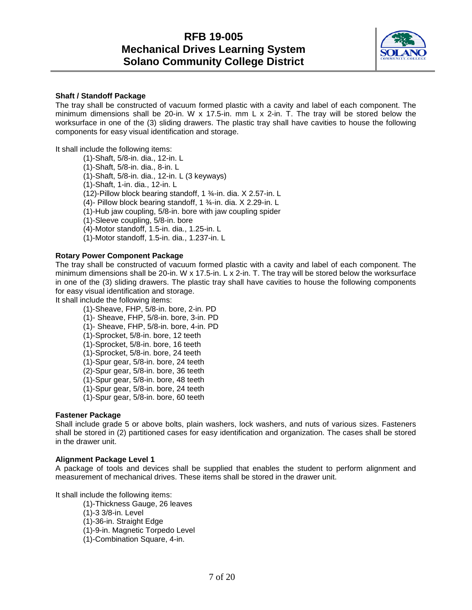

#### **Shaft / Standoff Package**

The tray shall be constructed of vacuum formed plastic with a cavity and label of each component. The minimum dimensions shall be 20-in. W x 17.5-in. mm L x 2-in. T. The tray will be stored below the worksurface in one of the (3) sliding drawers. The plastic tray shall have cavities to house the following components for easy visual identification and storage.

It shall include the following items:

(1)-Shaft, 5/8-in. dia., 12-in. L (1)-Shaft, 5/8-in. dia., 8-in. L (1)-Shaft, 5/8-in. dia., 12-in. L (3 keyways) (1)-Shaft, 1-in. dia., 12-in. L (12)-Pillow block bearing standoff, 1 ¾-in. dia. X 2.57-in. L (4)- Pillow block bearing standoff, 1 ¾-in. dia. X 2.29-in. L (1)-Hub jaw coupling, 5/8-in. bore with jaw coupling spider (1)-Sleeve coupling, 5/8-in. bore (4)-Motor standoff, 1.5-in. dia., 1.25-in. L (1)-Motor standoff, 1.5-in. dia., 1.237-in. L

#### **Rotary Power Component Package**

The tray shall be constructed of vacuum formed plastic with a cavity and label of each component. The minimum dimensions shall be 20-in. W x 17.5-in. L x 2-in. T. The tray will be stored below the worksurface in one of the (3) sliding drawers. The plastic tray shall have cavities to house the following components for easy visual identification and storage.

It shall include the following items:

(1)-Sheave, FHP, 5/8-in. bore, 2-in. PD (1)- Sheave, FHP, 5/8-in. bore, 3-in. PD (1)- Sheave, FHP, 5/8-in. bore, 4-in. PD (1)-Sprocket, 5/8-in. bore, 12 teeth (1)-Sprocket, 5/8-in. bore, 16 teeth (1)-Sprocket, 5/8-in. bore, 24 teeth (1)-Spur gear, 5/8-in. bore, 24 teeth (2)-Spur gear, 5/8-in. bore, 36 teeth (1)-Spur gear, 5/8-in. bore, 48 teeth (1)-Spur gear, 5/8-in. bore, 24 teeth (1)-Spur gear, 5/8-in. bore, 60 teeth

### **Fastener Package**

Shall include grade 5 or above bolts, plain washers, lock washers, and nuts of various sizes. Fasteners shall be stored in (2) partitioned cases for easy identification and organization. The cases shall be stored in the drawer unit.

#### **Alignment Package Level 1**

A package of tools and devices shall be supplied that enables the student to perform alignment and measurement of mechanical drives. These items shall be stored in the drawer unit.

It shall include the following items:

- (1)-Thickness Gauge, 26 leaves
- (1)-3 3/8-in. Level
- (1)-36-in. Straight Edge
- (1)-9-in. Magnetic Torpedo Level
- (1)-Combination Square, 4-in.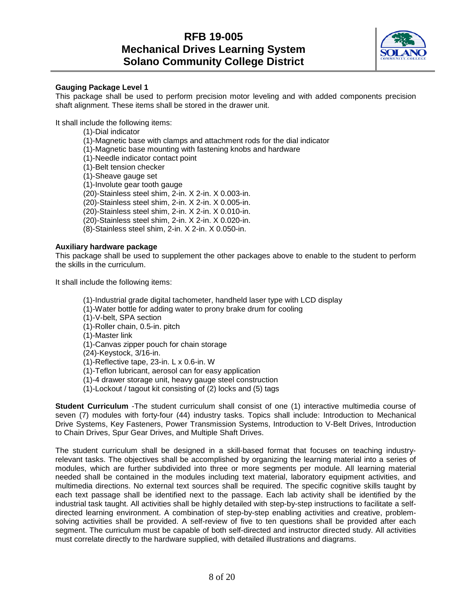

### **Gauging Package Level 1**

This package shall be used to perform precision motor leveling and with added components precision shaft alignment. These items shall be stored in the drawer unit.

It shall include the following items:

(1)-Dial indicator (1)-Magnetic base with clamps and attachment rods for the dial indicator (1)-Magnetic base mounting with fastening knobs and hardware (1)-Needle indicator contact point (1)-Belt tension checker (1)-Sheave gauge set (1)-Involute gear tooth gauge (20)-Stainless steel shim, 2-in. X 2-in. X 0.003-in. (20)-Stainless steel shim, 2-in. X 2-in. X 0.005-in. (20)-Stainless steel shim, 2-in. X 2-in. X 0.010-in. (20)-Stainless steel shim, 2-in. X 2-in. X 0.020-in. (8)-Stainless steel shim, 2-in. X 2-in. X 0.050-in.

### **Auxiliary hardware package**

This package shall be used to supplement the other packages above to enable to the student to perform the skills in the curriculum.

It shall include the following items:

- (1)-Industrial grade digital tachometer, handheld laser type with LCD display
- (1)-Water bottle for adding water to prony brake drum for cooling
- (1)-V-belt, SPA section
- (1)-Roller chain, 0.5-in. pitch
- (1)-Master link
- (1)-Canvas zipper pouch for chain storage

(24)-Keystock, 3/16-in.

(1)-Reflective tape, 23-in. L x 0.6-in. W

- (1)-Teflon lubricant, aerosol can for easy application
- (1)-4 drawer storage unit, heavy gauge steel construction
- (1)-Lockout / tagout kit consisting of (2) locks and (5) tags

**Student Curriculum** -The student curriculum shall consist of one (1) interactive multimedia course of seven (7) modules with forty-four (44) industry tasks. Topics shall include: Introduction to Mechanical Drive Systems, Key Fasteners, Power Transmission Systems, Introduction to V-Belt Drives, Introduction to Chain Drives, Spur Gear Drives, and Multiple Shaft Drives.

The student curriculum shall be designed in a skill-based format that focuses on teaching industryrelevant tasks. The objectives shall be accomplished by organizing the learning material into a series of modules, which are further subdivided into three or more segments per module. All learning material needed shall be contained in the modules including text material, laboratory equipment activities, and multimedia directions. No external text sources shall be required. The specific cognitive skills taught by each text passage shall be identified next to the passage. Each lab activity shall be identified by the industrial task taught. All activities shall be highly detailed with step-by-step instructions to facilitate a selfdirected learning environment. A combination of step-by-step enabling activities and creative, problemsolving activities shall be provided. A self-review of five to ten questions shall be provided after each segment. The curriculum must be capable of both self-directed and instructor directed study. All activities must correlate directly to the hardware supplied, with detailed illustrations and diagrams.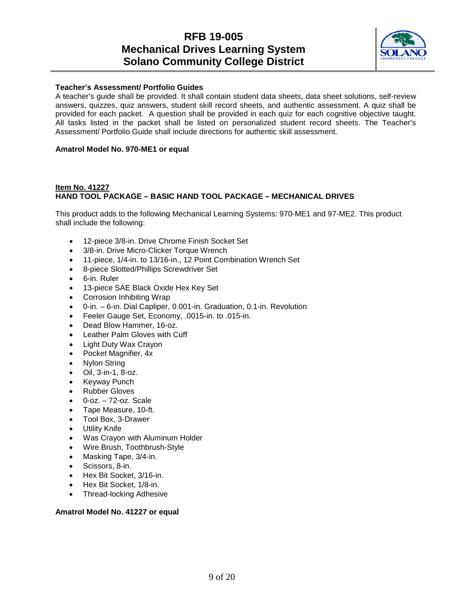

### **Teacher's Assessment/ Portfolio Guides**

A teacher's guide shall be provided. It shall contain student data sheets, data sheet solutions, self-review answers, quizzes, quiz answers, student skill record sheets, and authentic assessment. A quiz shall be provided for each packet. A question shall be provided in each quiz for each cognitive objective taught. All tasks listed in the packet shall be listed on personalized student record sheets. The Teacher's Assessment/ Portfolio Guide shall include directions for authentic skill assessment.

### **Amatrol Model No. 970-ME1 or equal**

### **Item No. 41227 HAND TOOL PACKAGE – BASIC HAND TOOL PACKAGE – MECHANICAL DRIVES**

This product adds to the following Mechanical Learning Systems: 970-ME1 and 97-ME2. This product shall include the following:

- 12-piece 3/8-in. Drive Chrome Finish Socket Set
- 3/8-in. Drive Micro-Clicker Torque Wrench
- 11-piece, 1/4-in. to 13/16-in., 12 Point Combination Wrench Set
- 8-piece Slotted/Phillips Screwdriver Set
- 6-in. Ruler
- 13-piece SAE Black Oxide Hex Key Set
- Corrosion Inhibiting Wrap
- 0-in. 6-in. Dial Capliper, 0.001-in. Graduation, 0.1-in. Revolution
- Feeler Gauge Set, Economy, .0015-in. to .015-in.
- Dead Blow Hammer, 16-oz.
- Leather Palm Gloves with Cuff
- Light Duty Wax Crayon
- Pocket Magnifier, 4x
- Nylon String
- Oil, 3-in-1, 8-oz.
- Keyway Punch
- Rubber Gloves
- 0-oz. 72-oz. Scale
- Tape Measure, 10-ft.
- Tool Box, 3-Drawer
- **Utility Knife**
- Was Crayon with Aluminum Holder
- Wire Brush, Toothbrush-Style
- Masking Tape, 3/4-in.
- Scissors, 8-in.
- Hex Bit Socket, 3/16-in.
- Hex Bit Socket, 1/8-in.
- Thread-locking Adhesive

### **Amatrol Model No. 41227 or equal**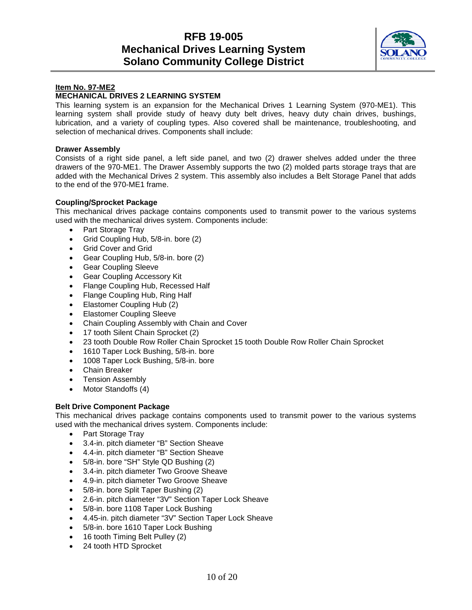

### **Item No. 97-ME2**

### **MECHANICAL DRIVES 2 LEARNING SYSTEM**

This learning system is an expansion for the Mechanical Drives 1 Learning System (970-ME1). This learning system shall provide study of heavy duty belt drives, heavy duty chain drives, bushings, lubrication, and a variety of coupling types. Also covered shall be maintenance, troubleshooting, and selection of mechanical drives. Components shall include:

#### **Drawer Assembly**

Consists of a right side panel, a left side panel, and two (2) drawer shelves added under the three drawers of the 970-ME1. The Drawer Assembly supports the two (2) molded parts storage trays that are added with the Mechanical Drives 2 system. This assembly also includes a Belt Storage Panel that adds to the end of the 970-ME1 frame.

### **Coupling/Sprocket Package**

This mechanical drives package contains components used to transmit power to the various systems used with the mechanical drives system. Components include:

- Part Storage Tray
- Grid Coupling Hub, 5/8-in. bore (2)
- Grid Cover and Grid
- Gear Coupling Hub, 5/8-in. bore (2)
- Gear Coupling Sleeve
- Gear Coupling Accessory Kit
- Flange Coupling Hub, Recessed Half
- Flange Coupling Hub, Ring Half
- Elastomer Coupling Hub (2)
- Elastomer Coupling Sleeve
- Chain Coupling Assembly with Chain and Cover
- 17 tooth Silent Chain Sprocket (2)
- 23 tooth Double Row Roller Chain Sprocket 15 tooth Double Row Roller Chain Sprocket
- 1610 Taper Lock Bushing, 5/8-in. bore
- 1008 Taper Lock Bushing, 5/8-in. bore
- Chain Breaker
- Tension Assembly
- Motor Standoffs (4)

### **Belt Drive Component Package**

This mechanical drives package contains components used to transmit power to the various systems used with the mechanical drives system. Components include:

- Part Storage Tray
- 3.4-in. pitch diameter "B" Section Sheave
- 4.4-in. pitch diameter "B" Section Sheave
- 5/8-in. bore "SH" Style QD Bushing (2)
- 3.4-in. pitch diameter Two Groove Sheave
- 4.9-in. pitch diameter Two Groove Sheave
- 5/8-in. bore Split Taper Bushing (2)
- 2.6-in. pitch diameter "3V" Section Taper Lock Sheave
- 5/8-in. bore 1108 Taper Lock Bushing
- 4.45-in. pitch diameter "3V" Section Taper Lock Sheave
- 5/8-in. bore 1610 Taper Lock Bushing
- 16 tooth Timing Belt Pulley (2)
- 24 tooth HTD Sprocket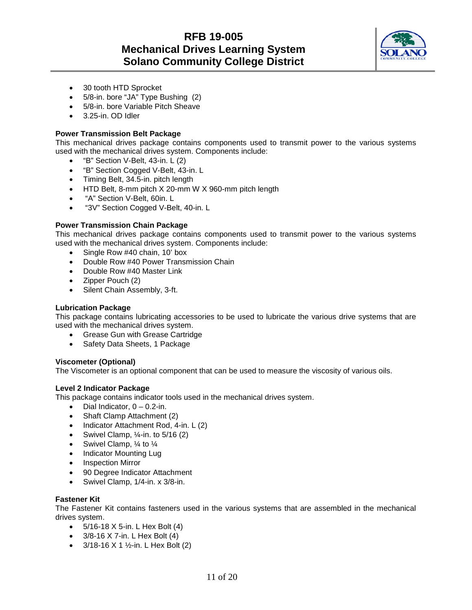

- 30 tooth HTD Sprocket
- 5/8-in. bore "JA" Type Bushing (2)
- 5/8-in. bore Variable Pitch Sheave
- 3.25-in. OD Idler

### **Power Transmission Belt Package**

This mechanical drives package contains components used to transmit power to the various systems used with the mechanical drives system. Components include:

- "B" Section V-Belt, 43-in. L (2)
- "B" Section Cogged V-Belt, 43-in. L
- Timing Belt, 34.5-in. pitch length
- HTD Belt, 8-mm pitch X 20-mm W X 960-mm pitch length
- "A" Section V-Belt, 60in. L
- "3V" Section Cogged V-Belt, 40-in. L

### **Power Transmission Chain Package**

This mechanical drives package contains components used to transmit power to the various systems used with the mechanical drives system. Components include:

- Single Row #40 chain, 10' box
- Double Row #40 Power Transmission Chain
- Double Row #40 Master Link
- Zipper Pouch (2)
- Silent Chain Assembly, 3-ft.

#### **Lubrication Package**

This package contains lubricating accessories to be used to lubricate the various drive systems that are used with the mechanical drives system.

- Grease Gun with Grease Cartridge
- Safety Data Sheets, 1 Package

### **Viscometer (Optional)**

The Viscometer is an optional component that can be used to measure the viscosity of various oils.

### **Level 2 Indicator Package**

This package contains indicator tools used in the mechanical drives system.

- Dial Indicator,  $0 0.2$ -in.
- Shaft Clamp Attachment (2)
- Indicator Attachment Rod, 4-in. L (2)
- Swivel Clamp,  $\frac{1}{4}$ -in. to  $\frac{5}{16}$  (2)
- Swivel Clamp,  $\frac{1}{4}$  to  $\frac{1}{4}$
- Indicator Mounting Lug
- Inspection Mirror
- 90 Degree Indicator Attachment
- Swivel Clamp, 1/4-in. x 3/8-in.

#### **Fastener Kit**

The Fastener Kit contains fasteners used in the various systems that are assembled in the mechanical drives system.

- 5/16-18 X 5-in. L Hex Bolt (4)
- $3/8 16 \times 7 in$ . L Hex Bolt (4)
- $3/18-16 \times 1$  1/<sub>2</sub>-in. L Hex Bolt (2)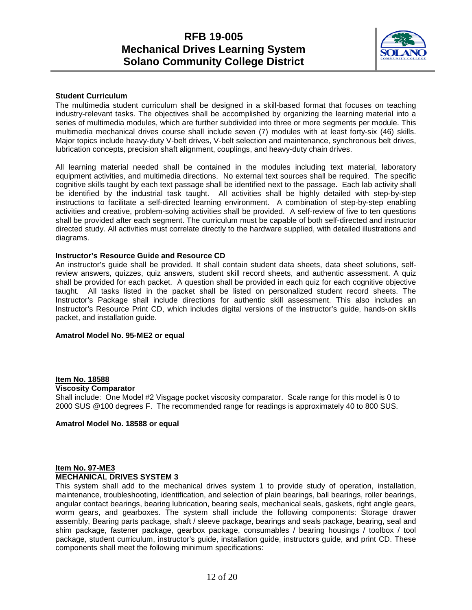

### **Student Curriculum**

The multimedia student curriculum shall be designed in a skill-based format that focuses on teaching industry-relevant tasks. The objectives shall be accomplished by organizing the learning material into a series of multimedia modules, which are further subdivided into three or more segments per module. This multimedia mechanical drives course shall include seven (7) modules with at least forty-six (46) skills. Major topics include heavy-duty V-belt drives, V-belt selection and maintenance, synchronous belt drives, lubrication concepts, precision shaft alignment, couplings, and heavy-duty chain drives.

All learning material needed shall be contained in the modules including text material, laboratory equipment activities, and multimedia directions. No external text sources shall be required. The specific cognitive skills taught by each text passage shall be identified next to the passage. Each lab activity shall be identified by the industrial task taught. All activities shall be highly detailed with step-by-step instructions to facilitate a self-directed learning environment. A combination of step-by-step enabling activities and creative, problem-solving activities shall be provided. A self-review of five to ten questions shall be provided after each segment. The curriculum must be capable of both self-directed and instructor directed study. All activities must correlate directly to the hardware supplied, with detailed illustrations and diagrams.

#### **Instructor's Resource Guide and Resource CD**

An instructor's guide shall be provided. It shall contain student data sheets, data sheet solutions, selfreview answers, quizzes, quiz answers, student skill record sheets, and authentic assessment. A quiz shall be provided for each packet. A question shall be provided in each quiz for each cognitive objective taught. All tasks listed in the packet shall be listed on personalized student record sheets. The Instructor's Package shall include directions for authentic skill assessment. This also includes an Instructor's Resource Print CD, which includes digital versions of the instructor's guide, hands-on skills packet, and installation guide.

### **Amatrol Model No. 95-ME2 or equal**

#### **Item No. 18588**

#### **Viscosity Comparator**

Shall include: One Model #2 Visgage pocket viscosity comparator. Scale range for this model is 0 to 2000 SUS @100 degrees F. The recommended range for readings is approximately 40 to 800 SUS.

#### **Amatrol Model No. 18588 or equal**

### **Item No. 97-ME3 MECHANICAL DRIVES SYSTEM 3**

This system shall add to the mechanical drives system 1 to provide study of operation, installation, maintenance, troubleshooting, identification, and selection of plain bearings, ball bearings, roller bearings, angular contact bearings, bearing lubrication, bearing seals, mechanical seals, gaskets, right angle gears, worm gears, and gearboxes. The system shall include the following components: Storage drawer assembly, Bearing parts package, shaft / sleeve package, bearings and seals package, bearing, seal and shim package, fastener package, gearbox package, consumables / bearing housings / toolbox / tool package, student curriculum, instructor's guide, installation guide, instructors guide, and print CD. These components shall meet the following minimum specifications: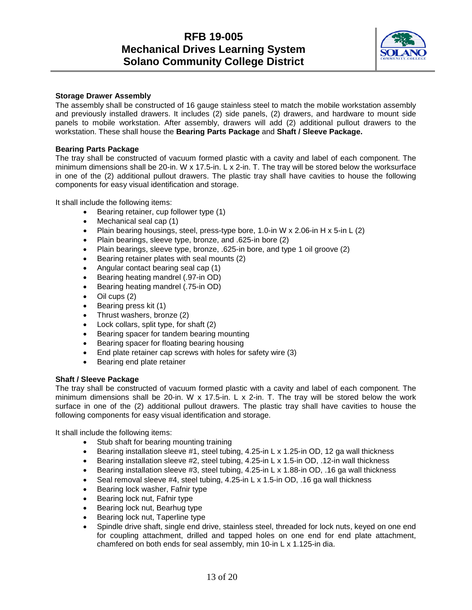

### **Storage Drawer Assembly**

The assembly shall be constructed of 16 gauge stainless steel to match the mobile workstation assembly and previously installed drawers. It includes (2) side panels, (2) drawers, and hardware to mount side panels to mobile workstation. After assembly, drawers will add (2) additional pullout drawers to the workstation. These shall house the **Bearing Parts Package** and **Shaft / Sleeve Package.**

### **Bearing Parts Package**

The tray shall be constructed of vacuum formed plastic with a cavity and label of each component. The minimum dimensions shall be 20-in. W x 17.5-in. L x 2-in. T. The tray will be stored below the worksurface in one of the (2) additional pullout drawers. The plastic tray shall have cavities to house the following components for easy visual identification and storage.

It shall include the following items:

- Bearing retainer, cup follower type (1)
- Mechanical seal cap (1)
- Plain bearing housings, steel, press-type bore, 1.0-in W x 2.06-in H x 5-in L (2)
- Plain bearings, sleeve type, bronze, and .625-in bore (2)
- Plain bearings, sleeve type, bronze, .625-in bore, and type 1 oil groove (2)
- Bearing retainer plates with seal mounts (2)
- Angular contact bearing seal cap (1)
- Bearing heating mandrel (.97-in OD)
- Bearing heating mandrel (.75-in OD)
- Oil cups (2)
- Bearing press kit (1)
- Thrust washers, bronze (2)
- Lock collars, split type, for shaft (2)
- Bearing spacer for tandem bearing mounting
- Bearing spacer for floating bearing housing
- End plate retainer cap screws with holes for safety wire (3)
- Bearing end plate retainer

### **Shaft / Sleeve Package**

The tray shall be constructed of vacuum formed plastic with a cavity and label of each component. The minimum dimensions shall be 20-in. W  $\times$  17.5-in. L  $\times$  2-in. T. The tray will be stored below the work surface in one of the (2) additional pullout drawers. The plastic tray shall have cavities to house the following components for easy visual identification and storage.

It shall include the following items:

- Stub shaft for bearing mounting training
- Bearing installation sleeve #1, steel tubing, 4.25-in L x 1.25-in OD, 12 ga wall thickness
- Bearing installation sleeve #2, steel tubing, 4.25-in L x 1.5-in OD, .12-in wall thickness
- Bearing installation sleeve #3, steel tubing, 4.25-in L x 1.88-in OD, .16 ga wall thickness
- Seal removal sleeve #4, steel tubing, 4.25-in L x 1.5-in OD, .16 ga wall thickness
- Bearing lock washer, Fafnir type
- Bearing lock nut, Fafnir type
- Bearing lock nut, Bearhug type
- Bearing lock nut, Taperline type
- Spindle drive shaft, single end drive, stainless steel, threaded for lock nuts, keyed on one end for coupling attachment, drilled and tapped holes on one end for end plate attachment, chamfered on both ends for seal assembly, min 10-in L x 1.125-in dia.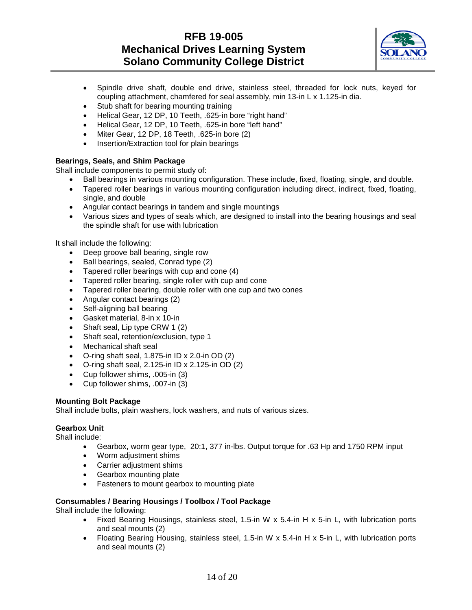

- Spindle drive shaft, double end drive, stainless steel, threaded for lock nuts, keyed for coupling attachment, chamfered for seal assembly, min 13-in L x 1.125-in dia.
- Stub shaft for bearing mounting training
- Helical Gear, 12 DP, 10 Teeth, .625-in bore "right hand"
- Helical Gear, 12 DP, 10 Teeth, .625-in bore "left hand"
- Miter Gear, 12 DP, 18 Teeth, .625-in bore (2)
- Insertion/Extraction tool for plain bearings

### **Bearings, Seals, and Shim Package**

Shall include components to permit study of:

- Ball bearings in various mounting configuration. These include, fixed, floating, single, and double.
- Tapered roller bearings in various mounting configuration including direct, indirect, fixed, floating, single, and double
- Angular contact bearings in tandem and single mountings
- Various sizes and types of seals which, are designed to install into the bearing housings and seal the spindle shaft for use with lubrication

It shall include the following:

- Deep groove ball bearing, single row
- Ball bearings, sealed, Conrad type (2)
- Tapered roller bearings with cup and cone (4)
- Tapered roller bearing, single roller with cup and cone
- Tapered roller bearing, double roller with one cup and two cones
- Angular contact bearings (2)
- Self-aligning ball bearing
- Gasket material, 8-in x 10-in
- Shaft seal, Lip type CRW 1 (2)
- Shaft seal, retention/exclusion, type 1
- Mechanical shaft seal
- O-ring shaft seal, 1.875-in ID x 2.0-in OD (2)
- O-ring shaft seal, 2.125-in ID x 2.125-in OD (2)
- Cup follower shims, .005-in (3)
- Cup follower shims, .007-in (3)

### **Mounting Bolt Package**

Shall include bolts, plain washers, lock washers, and nuts of various sizes.

### **Gearbox Unit**

Shall include:

- Gearbox, worm gear type, 20:1, 377 in-lbs. Output torque for .63 Hp and 1750 RPM input
- Worm adjustment shims
- Carrier adjustment shims
- Gearbox mounting plate
- Fasteners to mount gearbox to mounting plate

### **Consumables / Bearing Housings / Toolbox / Tool Package**

Shall include the following:

- Fixed Bearing Housings, stainless steel, 1.5-in W x 5.4-in H x 5-in L, with lubrication ports and seal mounts (2)
- Floating Bearing Housing, stainless steel, 1.5-in W x 5.4-in H x 5-in L, with lubrication ports and seal mounts (2)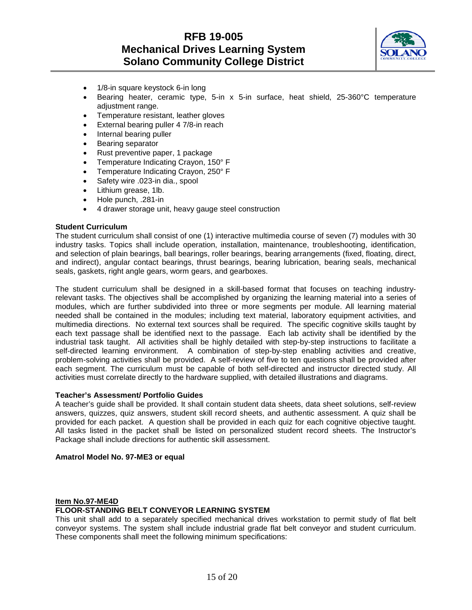

- 1/8-in square keystock 6-in long
- Bearing heater, ceramic type, 5-in x 5-in surface, heat shield, 25-360°C temperature adjustment range.
- Temperature resistant, leather gloves
- External bearing puller 4 7/8-in reach
- Internal bearing puller
- Bearing separator
- Rust preventive paper, 1 package
- Temperature Indicating Crayon, 150° F
- Temperature Indicating Crayon, 250° F
- Safety wire .023-in dia., spool
- Lithium grease, 1lb.
- Hole punch, .281-in
- 4 drawer storage unit, heavy gauge steel construction

### **Student Curriculum**

The student curriculum shall consist of one (1) interactive multimedia course of seven (7) modules with 30 industry tasks. Topics shall include operation, installation, maintenance, troubleshooting, identification, and selection of plain bearings, ball bearings, roller bearings, bearing arrangements (fixed, floating, direct, and indirect), angular contact bearings, thrust bearings, bearing lubrication, bearing seals, mechanical seals, gaskets, right angle gears, worm gears, and gearboxes.

The student curriculum shall be designed in a skill-based format that focuses on teaching industryrelevant tasks. The objectives shall be accomplished by organizing the learning material into a series of modules, which are further subdivided into three or more segments per module. All learning material needed shall be contained in the modules; including text material, laboratory equipment activities, and multimedia directions. No external text sources shall be required. The specific cognitive skills taught by each text passage shall be identified next to the passage. Each lab activity shall be identified by the industrial task taught. All activities shall be highly detailed with step-by-step instructions to facilitate a self-directed learning environment. A combination of step-by-step enabling activities and creative, problem-solving activities shall be provided. A self-review of five to ten questions shall be provided after each segment. The curriculum must be capable of both self-directed and instructor directed study. All activities must correlate directly to the hardware supplied, with detailed illustrations and diagrams.

#### **Teacher's Assessment/ Portfolio Guides**

A teacher's guide shall be provided. It shall contain student data sheets, data sheet solutions, self-review answers, quizzes, quiz answers, student skill record sheets, and authentic assessment. A quiz shall be provided for each packet. A question shall be provided in each quiz for each cognitive objective taught. All tasks listed in the packet shall be listed on personalized student record sheets. The Instructor's Package shall include directions for authentic skill assessment.

### **Amatrol Model No. 97-ME3 or equal**

### **Item No.97-ME4D**

### **FLOOR-STANDING BELT CONVEYOR LEARNING SYSTEM**

This unit shall add to a separately specified mechanical drives workstation to permit study of flat belt conveyor systems. The system shall include industrial grade flat belt conveyor and student curriculum. These components shall meet the following minimum specifications: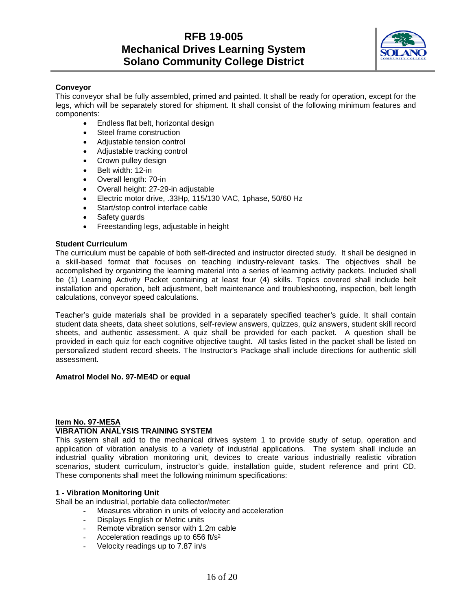

### **Conveyor**

This conveyor shall be fully assembled, primed and painted. It shall be ready for operation, except for the legs, which will be separately stored for shipment. It shall consist of the following minimum features and components:

- Endless flat belt, horizontal design
- Steel frame construction
- Adjustable tension control
- Adjustable tracking control
- Crown pulley design
- Belt width: 12-in
- Overall length: 70-in
- Overall height: 27-29-in adjustable
- Electric motor drive, .33Hp, 115/130 VAC, 1phase, 50/60 Hz
- Start/stop control interface cable
- Safety guards
- Freestanding legs, adjustable in height

### **Student Curriculum**

The curriculum must be capable of both self-directed and instructor directed study. It shall be designed in a skill-based format that focuses on teaching industry-relevant tasks. The objectives shall be accomplished by organizing the learning material into a series of learning activity packets. Included shall be (1) Learning Activity Packet containing at least four (4) skills. Topics covered shall include belt installation and operation, belt adjustment, belt maintenance and troubleshooting, inspection, belt length calculations, conveyor speed calculations.

Teacher's guide materials shall be provided in a separately specified teacher's guide. It shall contain student data sheets, data sheet solutions, self-review answers, quizzes, quiz answers, student skill record sheets, and authentic assessment. A quiz shall be provided for each packet. A question shall be provided in each quiz for each cognitive objective taught. All tasks listed in the packet shall be listed on personalized student record sheets. The Instructor's Package shall include directions for authentic skill assessment.

### **Amatrol Model No. 97-ME4D or equal**

### **Item No. 97-ME5A**

### **VIBRATION ANALYSIS TRAINING SYSTEM**

This system shall add to the mechanical drives system 1 to provide study of setup, operation and application of vibration analysis to a variety of industrial applications. The system shall include an industrial quality vibration monitoring unit, devices to create various industrially realistic vibration scenarios, student curriculum, instructor's guide, installation guide, student reference and print CD. These components shall meet the following minimum specifications:

### **1 - Vibration Monitoring Unit**

Shall be an industrial, portable data collector/meter:

- Measures vibration in units of velocity and acceleration
- Displays English or Metric units
- Remote vibration sensor with 1.2m cable
- Acceleration readings up to  $656$  ft/ $s^2$
- Velocity readings up to 7.87 in/s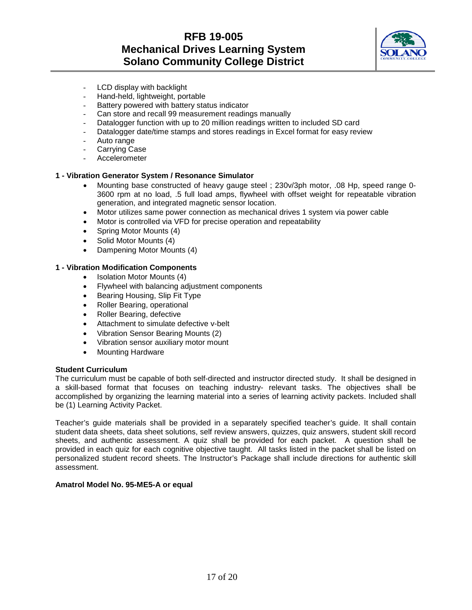

- LCD display with backlight
- Hand-held, lightweight, portable
- Battery powered with battery status indicator
- Can store and recall 99 measurement readings manually
- Datalogger function with up to 20 million readings written to included SD card
- Datalogger date/time stamps and stores readings in Excel format for easy review
- Auto range
- Carrying Case
- **Accelerometer**

### **1 - Vibration Generator System / Resonance Simulator**

- Mounting base constructed of heavy gauge steel ; 230v/3ph motor, .08 Hp, speed range 0- 3600 rpm at no load, .5 full load amps, flywheel with offset weight for repeatable vibration generation, and integrated magnetic sensor location.
- Motor utilizes same power connection as mechanical drives 1 system via power cable
- Motor is controlled via VFD for precise operation and repeatability
- Spring Motor Mounts (4)
- Solid Motor Mounts (4)
- Dampening Motor Mounts (4)

### **1 - Vibration Modification Components**

- Isolation Motor Mounts (4)
- Flywheel with balancing adjustment components
- Bearing Housing, Slip Fit Type<br>• Roller Bearing, operational
- Roller Bearing, operational
- Roller Bearing, defective
- Attachment to simulate defective v-belt
- Vibration Sensor Bearing Mounts (2)
- Vibration sensor auxiliary motor mount
- Mounting Hardware

### **Student Curriculum**

The curriculum must be capable of both self-directed and instructor directed study. It shall be designed in a skill-based format that focuses on teaching industry- relevant tasks. The objectives shall be accomplished by organizing the learning material into a series of learning activity packets. Included shall be (1) Learning Activity Packet.

Teacher's guide materials shall be provided in a separately specified teacher's guide. It shall contain student data sheets, data sheet solutions, self review answers, quizzes, quiz answers, student skill record sheets, and authentic assessment. A quiz shall be provided for each packet. A question shall be provided in each quiz for each cognitive objective taught. All tasks listed in the packet shall be listed on personalized student record sheets. The Instructor's Package shall include directions for authentic skill assessment.

### **Amatrol Model No. 95-ME5-A or equal**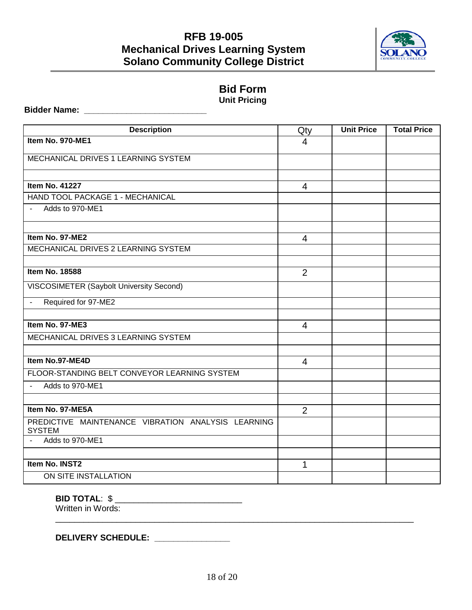

### **Bid Form Unit Pricing**

### **Bidder Name: \_\_\_\_\_\_\_\_\_\_\_\_\_\_\_\_\_\_\_\_\_\_\_\_\_\_**

| <b>Description</b>                                                  | Qty            | <b>Unit Price</b> | <b>Total Price</b> |
|---------------------------------------------------------------------|----------------|-------------------|--------------------|
| Item No. 970-ME1                                                    | $\overline{4}$ |                   |                    |
| MECHANICAL DRIVES 1 LEARNING SYSTEM                                 |                |                   |                    |
|                                                                     |                |                   |                    |
| <b>Item No. 41227</b>                                               | $\overline{4}$ |                   |                    |
| HAND TOOL PACKAGE 1 - MECHANICAL                                    |                |                   |                    |
| Adds to 970-ME1<br>$\blacksquare$                                   |                |                   |                    |
|                                                                     |                |                   |                    |
| Item No. 97-ME2                                                     | 4              |                   |                    |
| MECHANICAL DRIVES 2 LEARNING SYSTEM                                 |                |                   |                    |
|                                                                     |                |                   |                    |
| <b>Item No. 18588</b>                                               | $\overline{2}$ |                   |                    |
| VISCOSIMETER (Saybolt University Second)                            |                |                   |                    |
| Required for 97-ME2<br>$\blacksquare$                               |                |                   |                    |
|                                                                     |                |                   |                    |
| Item No. 97-ME3                                                     | $\overline{4}$ |                   |                    |
| MECHANICAL DRIVES 3 LEARNING SYSTEM                                 |                |                   |                    |
|                                                                     |                |                   |                    |
| Item No.97-ME4D                                                     | $\overline{4}$ |                   |                    |
| FLOOR-STANDING BELT CONVEYOR LEARNING SYSTEM                        |                |                   |                    |
| Adds to 970-ME1                                                     |                |                   |                    |
|                                                                     |                |                   |                    |
| Item No. 97-ME5A                                                    | $\overline{2}$ |                   |                    |
| PREDICTIVE MAINTENANCE VIBRATION ANALYSIS LEARNING<br><b>SYSTEM</b> |                |                   |                    |
| Adds to 970-ME1                                                     |                |                   |                    |
|                                                                     |                |                   |                    |
| Item No. INST2                                                      | 1              |                   |                    |
| ON SITE INSTALLATION                                                |                |                   |                    |

### **BID TOTAL: \$ \_\_\_\_\_\_\_\_\_\_\_\_\_\_\_\_\_\_\_\_\_\_\_\_\_\_\_\_\_**

Written in Words:

**DELIVERY SCHEDULE: \_\_\_\_\_\_\_\_\_\_\_\_\_\_\_\_** 

\_\_\_\_\_\_\_\_\_\_\_\_\_\_\_\_\_\_\_\_\_\_\_\_\_\_\_\_\_\_\_\_\_\_\_\_\_\_\_\_\_\_\_\_\_\_\_\_\_\_\_\_\_\_\_\_\_\_\_\_\_\_\_\_\_\_\_\_\_\_\_\_\_\_\_\_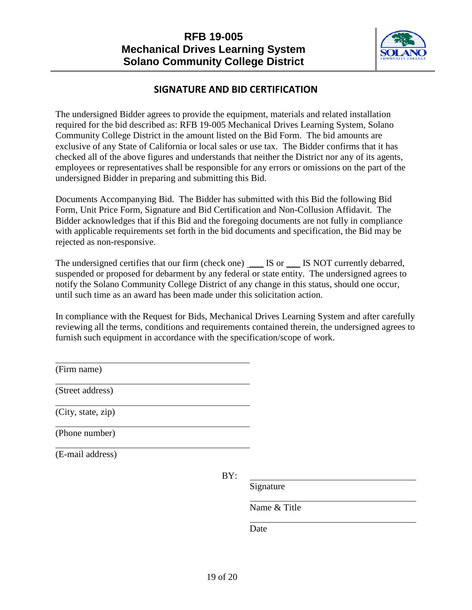

### **SIGNATURE AND BID CERTIFICATION**

The undersigned Bidder agrees to provide the equipment, materials and related installation required for the bid described as: RFB 19-005 Mechanical Drives Learning System, Solano Community College District in the amount listed on the Bid Form. The bid amounts are exclusive of any State of California or local sales or use tax. The Bidder confirms that it has checked all of the above figures and understands that neither the District nor any of its agents, employees or representatives shall be responsible for any errors or omissions on the part of the undersigned Bidder in preparing and submitting this Bid.

Documents Accompanying Bid. The Bidder has submitted with this Bid the following Bid Form, Unit Price Form, Signature and Bid Certification and Non-Collusion Affidavit. The Bidder acknowledges that if this Bid and the foregoing documents are not fully in compliance with applicable requirements set forth in the bid documents and specification, the Bid may be rejected as non-responsive.

The undersigned certifies that our firm (check one) \_\_\_ IS or \_\_\_ IS NOT currently debarred, suspended or proposed for debarment by any federal or state entity. The undersigned agrees to notify the Solano Community College District of any change in this status, should one occur, until such time as an award has been made under this solicitation action.

In compliance with the Request for Bids, Mechanical Drives Learning System and after carefully reviewing all the terms, conditions and requirements contained therein, the undersigned agrees to furnish such equipment in accordance with the specification/scope of work.

(Firm name)

(Street address)

(City, state, zip)

(Phone number)

(E-mail address)

BY:

Signature

Name & Title

Date